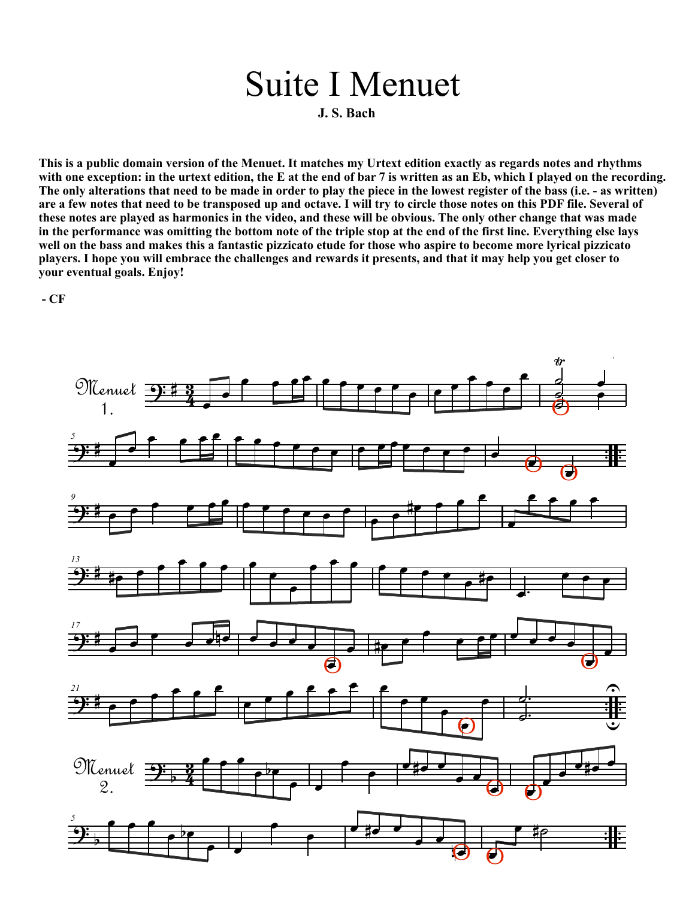## $\mathbb{R}^n$  $\mathcal{L}$ œ Suite I Menuet

J. S. Bach

with one exception: in the urtext edition, the E at the end of bar 7 is written as an Eb, which I played on the recordin<br>The only alterations that need to be made in order to play the piece in the lowest register of the ba with one exception: in the urtext edition, the E at the end of bar 7 is written as an Eb, which I played on the record<br>The only alterations that need to be made in order to play the piece in the lowest register of the bass This is a paske domain version of the wended. It matches my creat cancon exactly as regards notes and rhydniss<br>with one exception: in the urtext edition, the E at the end of bar 7 is written as an Eb, which I played on the The only alterations that need to be made in order to play the piece in the lowest register of the bass (i.e. - as writted are a few notes that need to be transposed up and octave. I will try to circle those notes on this This is a public domain version of the Menuet. It matches my Urtext edition exactly as regards notes and rhythms<br>with one excention: in the urtext edition, the E at the end of har 7 is written as an Eh, which I played on t m the performance was omitting the bottom note of the triple stop at the end of the Hrst line. Everything else<br>well on the bass and makes this a fantastic pizzicato etude for those who aspire to become more lyrical pizzica in the performance was omitting the bottom note of the triple stop at the end of the first line. Everything else lay<br>well on the bass and makes this a fantastic pizzicato etude for those who aspire to become more lyrical p . **in the performance was omitting the bottom note of the triple stop at the end of the first line. Everything else lays your eventual goals. Enjoy! 1.** S. Bach<br>
This is a public domain version of the Menuet. It matches my U<br>
with one exception: in the urtext edition, the E at the end of bar<br>
The only alterations that need to be made in order to play the p<br>
are a few